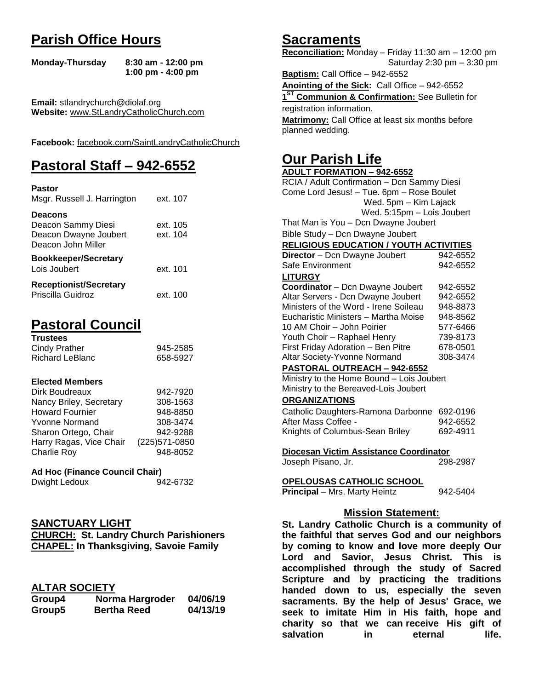# **Parish Office Hours**

```
Monday-Thursday 8:30 am - 12:00 pm
       1:00 pm - 4:00 pm
```
**Email:** stlandrychurch@diolaf.org **Website:** [www.StLandryCatholicChurch.com](http://www.stlandrycatholicchurch.com/)

**Facebook:** [facebook.com/SaintLandryCatholicChurch](http://facebook.com/SaintLandryCatholicChurch)

# **Pastoral Staff – 942-6552**

| <b>Pastor</b><br>Msgr. Russell J. Harrington                                        | ext. 107             |
|-------------------------------------------------------------------------------------|----------------------|
| <b>Deacons</b><br>Deacon Sammy Diesi<br>Deacon Dwayne Joubert<br>Deacon John Miller | ext. 105<br>ext. 104 |
| <b>Bookkeeper/Secretary</b><br>Lois Joubert                                         | ext. 101             |
| <b>Receptionist/Secretary</b><br>Priscilla Guidroz                                  | ext. 100             |

# **Pastoral Council**

| <b>Trustees</b> |          |
|-----------------|----------|
| Cindy Prather   | 945-2585 |
| Richard LeBlanc | 658-5927 |

#### **Elected Members**

| Dirk Boudreaux          | 942-7920       |
|-------------------------|----------------|
| Nancy Briley, Secretary | 308-1563       |
| <b>Howard Fournier</b>  | 948-8850       |
| <b>Yvonne Normand</b>   | 308-3474       |
| Sharon Ortego, Chair    | 942-9288       |
| Harry Ragas, Vice Chair | (225) 571-0850 |
| Charlie Roy             | 948-8052       |

#### **Ad Hoc (Finance Council Chair)**

| Dwight Ledoux | 942-6732 |
|---------------|----------|
|               |          |

# **SANCTUARY LIGHT**

|  | <b>CHURCH: St. Landry Church Parishioners</b> |  |
|--|-----------------------------------------------|--|
|  | <b>CHAPEL: In Thanksgiving, Savoie Family</b> |  |

# **ALTAR SOCIETY**

|        | .                  |          |
|--------|--------------------|----------|
| Group4 | Norma Hargroder    | 04/06/19 |
| Group5 | <b>Bertha Reed</b> | 04/13/19 |

# **Sacraments**

**Reconciliation:** Monday – Friday 11:30 am – 12:00 pm Saturday 2:30 pm – 3:30 pm

**Baptism:** Call Office – 942-6552 **Anointing of the Sick:** Call Office – 942-6552 **1 ST Communion & Confirmation:** See Bulletin for registration information. **Matrimony:** Call Office at least six months before planned wedding.

# **Our Parish Life**

| <b>ADULT FORMATION - 942-6552</b>                          |          |  |
|------------------------------------------------------------|----------|--|
| RCIA / Adult Confirmation - Dcn Sammy Diesi                |          |  |
| Come Lord Jesus! - Tue. 6pm - Rose Boulet                  |          |  |
| Wed. 5pm - Kim Lajack                                      |          |  |
| Wed. 5:15pm - Lois Joubert                                 |          |  |
| That Man is You - Dcn Dwayne Joubert                       |          |  |
| Bible Study - Dcn Dwayne Joubert                           |          |  |
| <b>RELIGIOUS EDUCATION / YOUTH ACTIVITIES</b>              |          |  |
| Director - Dcn Dwayne Joubert                              | 942-6552 |  |
| Safe Environment                                           | 942-6552 |  |
| <b>LITURGY</b>                                             |          |  |
| Coordinator - Dcn Dwayne Joubert                           | 942-6552 |  |
| Altar Servers - Dcn Dwayne Joubert                         | 942-6552 |  |
| Ministers of the Word - Irene Soileau                      | 948-8873 |  |
| Eucharistic Ministers - Martha Moise                       | 948-8562 |  |
| 10 AM Choir - John Poirier                                 | 577-6466 |  |
| Youth Choir - Raphael Henry                                | 739-8173 |  |
| First Friday Adoration - Ben Pitre                         | 678-0501 |  |
| Altar Society-Yvonne Normand                               | 308-3474 |  |
| PASTORAL OUTREACH - 942-6552                               |          |  |
| Ministry to the Home Bound - Lois Joubert                  |          |  |
| Ministry to the Bereaved-Lois Joubert                      |          |  |
| <b>ORGANIZATIONS</b>                                       |          |  |
| Catholic Daughters-Ramona Darbonne                         | 692-0196 |  |
| After Mass Coffee -                                        | 942-6552 |  |
| Knights of Columbus-Sean Briley                            | 692-4911 |  |
|                                                            |          |  |
| Diocesan Victim Assistance Coordinator                     |          |  |
| Joseph Pisano, Jr.                                         | 298-2987 |  |
|                                                            |          |  |
| OPELOUSAS CATHOLIC SCHOOL<br>Principal - Mrs. Marty Heintz | 942-5404 |  |
|                                                            |          |  |
| <b>Mission Statement:</b>                                  |          |  |
| والمعاربات والممالا<br>◠                                   | 34       |  |

**St. Landry Catholic Church is a community of the faithful that serves God and our neighbors by coming to know and love more deeply Our Lord and Savior, Jesus Christ. This is accomplished through the study of Sacred Scripture and by practicing the traditions handed down to us, especially the seven sacraments. By the help of Jesus' Grace, we seek to imitate Him in His faith, hope and charity so that we can receive His gift of salvation in** eternal life.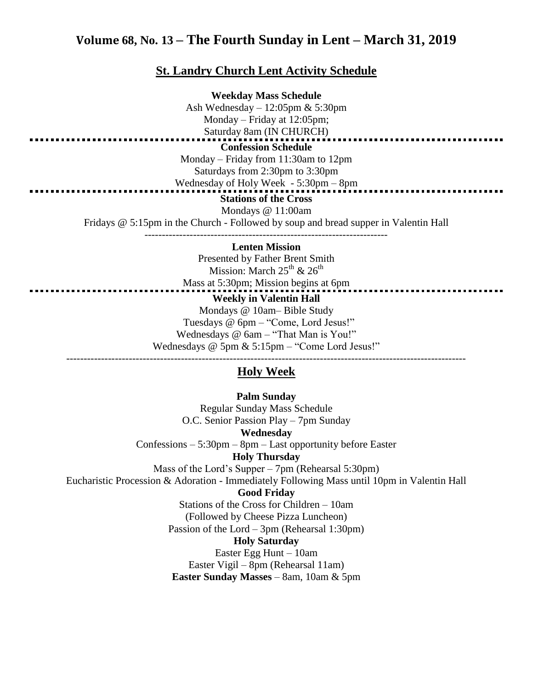# **Volume 68, No. 13 – The Fourth Sunday in Lent – March 31, 2019**

#### **St. Landry Church Lent Activity Schedule**

**Weekday Mass Schedule** Ash Wednesday – 12:05pm & 5:30pm Monday – Friday at 12:05pm; Saturday 8am (IN CHURCH) **Confession Schedule** Monday – Friday from 11:30am to 12pm Saturdays from 2:30pm to 3:30pm Wednesday of Holy Week - 5:30pm – 8pm **Stations of the Cross** Mondays @ 11:00am Fridays @ 5:15pm in the Church - Followed by soup and bread supper in Valentin Hall ----------------------------------------------------------------------

#### **Lenten Mission**

Presented by Father Brent Smith Mission: March  $25^{th}$  &  $26^{th}$ Mass at 5:30pm; Mission begins at 6pm **Weekly in Valentin Hall** Mondays @ 10am– Bible Study Tuesdays @ 6pm – "Come, Lord Jesus!" Wednesdays @ 6am – "That Man is You!"

Wednesdays @ 5pm & 5:15pm – "Come Lord Jesus!"

# ------------------------------------------------------------------------------------------------------------------- **Holy Week**

**Palm Sunday** Regular Sunday Mass Schedule O.C. Senior Passion Play – 7pm Sunday **Wednesday** Confessions – 5:30pm – 8pm – Last opportunity before Easter **Holy Thursday** Mass of the Lord's Supper – 7pm (Rehearsal 5:30pm) Eucharistic Procession & Adoration - Immediately Following Mass until 10pm in Valentin Hall **Good Friday** Stations of the Cross for Children – 10am (Followed by Cheese Pizza Luncheon) Passion of the Lord – 3pm (Rehearsal 1:30pm) **Holy Saturday** Easter Egg Hunt – 10am Easter Vigil – 8pm (Rehearsal 11am) **Easter Sunday Masses** – 8am, 10am & 5pm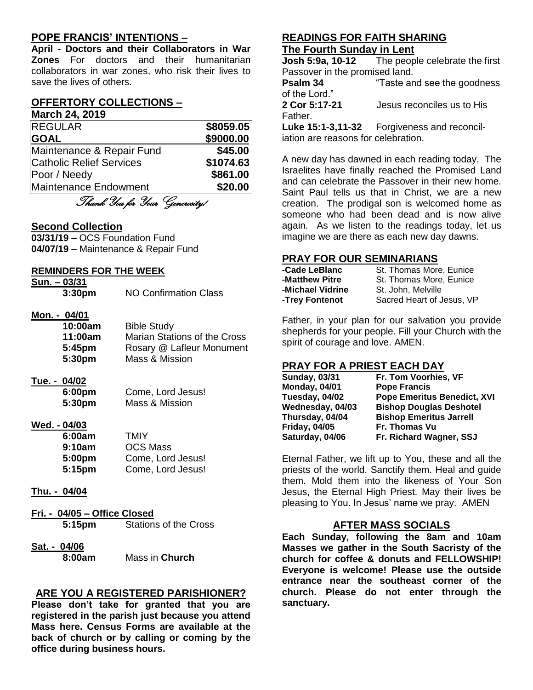# **POPE FRANCIS' INTENTIONS –**

**April - Doctors and their Collaborators in War Zones** For doctors and their humanitarian collaborators in war zones, who risk their lives to save the lives of others.

#### **OFFERTORY COLLECTIONS – March 24, 2019**

| <b>REGULAR</b>                  | \$8059.05 |
|---------------------------------|-----------|
| <b>GOAL</b>                     | \$9000.00 |
| Maintenance & Repair Fund       | \$45.00   |
| <b>Catholic Relief Services</b> | \$1074.63 |
| Poor / Needy                    | \$861.00  |
| Maintenance Endowment           | \$20.00   |

Thank You for Your Generosity!

#### **Second Collection**

**03/31/19 –** OCS Foundation Fund **04/07/19** – Maintenance & Repair Fund

#### **REMINDERS FOR THE WEEK**

**Sun. – 03/31**

**3:30pm** NO Confirmation Class

#### **Mon. - 04/01**

| 10:00am | <b>Bible Study</b>           |
|---------|------------------------------|
| 11:00am | Marian Stations of the Cross |
| 5:45pm  | Rosary @ Lafleur Monument    |
| 5:30pm  | Mass & Mission               |

# **Tue. - 04/02**

| 6:00pm | Come, Lord Jesus! |
|--------|-------------------|
| 5:30pm | Mass & Mission    |

#### **Wed. - 04/03**

| 6:00am | TMIY              |
|--------|-------------------|
| 9:10am | <b>OCS Mass</b>   |
| 5:00pm | Come, Lord Jesus! |
| 5:15pm | Come, Lord Jesus! |

#### **Thu. - 04/04**

- **Fri. - 04/05 – Office Closed 5:15pm** Stations of the Cross
- **Sat. - 04/06 8:00am** Mass in **Church**

# **ARE YOU A REGISTERED PARISHIONER?**

**Please don't take for granted that you are registered in the parish just because you attend Mass here. Census Forms are available at the back of church or by calling or coming by the office during business hours.**

#### **READINGS FOR FAITH SHARING The Fourth Sunday in Lent**

**Josh 5:9a, 10-12** The people celebrate the first Passover in the promised land.

**Psalm 34** "Taste and see the goodness of the Lord." **2 Cor 5:17-21** Jesus reconciles us to His

Father.

**Luke 15:1-3,11-32** Forgiveness and reconciliation are reasons for celebration.

A new day has dawned in each reading today. The Israelites have finally reached the Promised Land and can celebrate the Passover in their new home. Saint Paul tells us that in Christ, we are a new creation. The prodigal son is welcomed home as someone who had been dead and is now alive again. As we listen to the readings today, let us imagine we are there as each new day dawns.

## **PRAY FOR OUR SEMINARIANS**

| -Cade LeBlanc    | St. Thomas More, Eunice   |
|------------------|---------------------------|
| -Matthew Pitre   | St. Thomas More, Eunice   |
| -Michael Vidrine | St. John. Melville        |
| -Trey Fontenot   | Sacred Heart of Jesus, VP |

Father, in your plan for our salvation you provide shepherds for your people. Fill your Church with the spirit of courage and love. AMEN.

# **PRAY FOR A PRIEST EACH DAY**

| <b>Sunday, 03/31</b> | Fr. Tom Voorhies, VF               |
|----------------------|------------------------------------|
| <b>Monday, 04/01</b> | <b>Pope Francis</b>                |
| Tuesday, 04/02       | <b>Pope Emeritus Benedict, XVI</b> |
| Wednesday, 04/03     | <b>Bishop Douglas Deshotel</b>     |
| Thursday, 04/04      | <b>Bishop Emeritus Jarrell</b>     |
| <b>Friday, 04/05</b> | Fr. Thomas Vu                      |
| Saturday, 04/06      | Fr. Richard Wagner, SSJ            |

Eternal Father, we lift up to You, these and all the priests of the world. Sanctify them. Heal and guide them. Mold them into the likeness of Your Son Jesus, the Eternal High Priest. May their lives be pleasing to You. In Jesus' name we pray. AMEN

#### **AFTER MASS SOCIALS**

**Each Sunday, following the 8am and 10am Masses we gather in the South Sacristy of the church for coffee & donuts and FELLOWSHIP! Everyone is welcome! Please use the outside entrance near the southeast corner of the church. Please do not enter through the sanctuary.**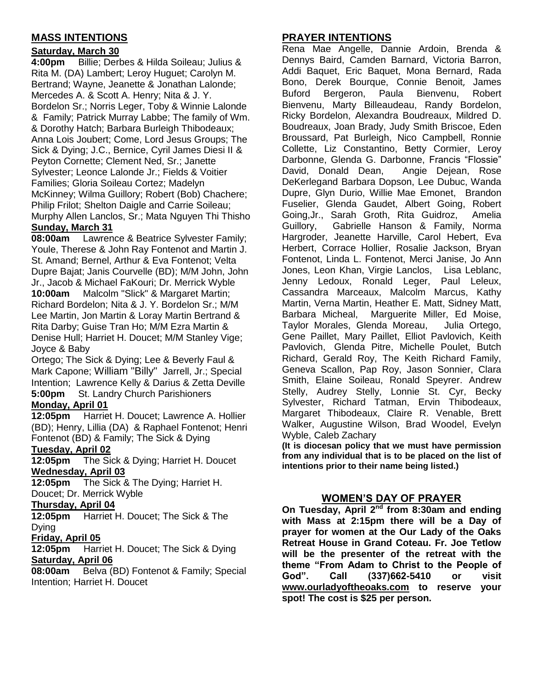# **MASS INTENTIONS**

# **Saturday, March 30**

**4:00pm** Billie; Derbes & Hilda Soileau; Julius & Rita M. (DA) Lambert; Leroy Huguet; Carolyn M. Bertrand; Wayne, Jeanette & Jonathan Lalonde; Mercedes A. & Scott A. Henry; Nita & J. Y. Bordelon Sr.; Norris Leger, Toby & Winnie Lalonde & Family; Patrick Murray Labbe; The family of Wm. & Dorothy Hatch; Barbara Burleigh Thibodeaux; Anna Lois Joubert; Come, Lord Jesus Groups; The Sick & Dying; J.C., Bernice, Cyril James Diesi II & Peyton Cornette; Clement Ned, Sr.; Janette Sylvester; Leonce Lalonde Jr.; Fields & Voitier Families; Gloria Soileau Cortez; Madelyn McKinney; Wilma Guillory; Robert (Bob) Chachere; Philip Frilot; Shelton Daigle and Carrie Soileau; Murphy Allen Lanclos, Sr.; Mata Nguyen Thi Thisho **Sunday, March 31**

**08:00am** Lawrence & Beatrice Sylvester Family; Youle, Therese & John Ray Fontenot and Martin J. St. Amand; Bernel, Arthur & Eva Fontenot; Velta Dupre Bajat; Janis Courvelle (BD); M/M John, John Jr., Jacob & Michael FaKouri; Dr. Merrick Wyble **10:00am** Malcolm "Slick" & Margaret Martin; Richard Bordelon; Nita & J. Y. Bordelon Sr.; M/M Lee Martin, Jon Martin & Loray Martin Bertrand & Rita Darby; Guise Tran Ho; M/M Ezra Martin & Denise Hull; Harriet H. Doucet; M/M Stanley Vige; Joyce & Baby

Ortego; The Sick & Dying; Lee & Beverly Faul & Mark Capone; William "Billy" Jarrell, Jr.; Special Intention; Lawrence Kelly & Darius & Zetta Deville **5:00pm** St. Landry Church Parishioners **Monday, April 01**

**12:05pm** Harriet H. Doucet; Lawrence A. Hollier (BD); Henry, Lillia (DA) & Raphael Fontenot; Henri

Fontenot (BD) & Family; The Sick & Dying

# **Tuesday, April 02**

**12:05pm** The Sick & Dying; Harriet H. Doucet **Wednesday, April 03**

**12:05pm** The Sick & The Dying; Harriet H. Doucet; Dr. Merrick Wyble

#### **Thursday, April 04**

**12:05pm** Harriet H. Doucet; The Sick & The Dying

# **Friday, April 05**

**12:05pm** Harriet H. Doucet; The Sick & Dying **Saturday, April 06**

**08:00am** Belva (BD) Fontenot & Family; Special Intention; Harriet H. Doucet

# **PRAYER INTENTIONS**

Rena Mae Angelle, Dannie Ardoin, Brenda & Dennys Baird, Camden Barnard, Victoria Barron, Addi Baquet, Eric Baquet, Mona Bernard, Rada Bono, Derek Bourque, Connie Benoit, James Buford Bergeron, Paula Bienvenu, Robert Bienvenu, Marty Billeaudeau, Randy Bordelon, Ricky Bordelon, Alexandra Boudreaux, Mildred D. Boudreaux, Joan Brady, Judy Smith Briscoe, Eden Broussard, Pat Burleigh, Nico Campbell, Ronnie Collette, Liz Constantino, Betty Cormier, Leroy Darbonne, Glenda G. Darbonne, Francis "Flossie" David, Donald Dean, Angie Dejean, Rose DeKerlegand Barbara Dopson, Lee Dubuc, Wanda Dupre, Glyn Durio, Willie Mae Emonet, Brandon Fuselier, Glenda Gaudet, Albert Going, Robert Going,Jr., Sarah Groth, Rita Guidroz, Amelia Guillory, Gabrielle Hanson & Family, Norma Hargroder, Jeanette Harville, Carol Hebert, Eva Herbert, Corrace Hollier, Rosalie Jackson, Bryan Fontenot, Linda L. Fontenot, Merci Janise, Jo Ann Jones, Leon Khan, Virgie Lanclos, Lisa Leblanc, Jenny Ledoux, Ronald Leger, Paul Leleux, Cassandra Marceaux, Malcolm Marcus, Kathy Martin, Verna Martin, Heather E. Matt, Sidney Matt, Barbara Micheal, Marguerite Miller, Ed Moise, Taylor Morales, Glenda Moreau, Julia Ortego, Gene Paillet, Mary Paillet, Elliot Pavlovich, Keith Pavlovich, Glenda Pitre, Michelle Poulet, Butch Richard, Gerald Roy, The Keith Richard Family, Geneva Scallon, Pap Roy, Jason Sonnier, Clara Smith, Elaine Soileau, Ronald Speyrer. Andrew Stelly, Audrey Stelly, Lonnie St. Cyr, Becky Sylvester, Richard Tatman, Ervin Thibodeaux, Margaret Thibodeaux, Claire R. Venable, Brett Walker, Augustine Wilson, Brad Woodel, Evelyn Wyble, Caleb Zachary

**(It is diocesan policy that we must have permission from any individual that is to be placed on the list of intentions prior to their name being listed.)**

# **WOMEN'S DAY OF PRAYER**

**On Tuesday, April 2nd from 8:30am and ending with Mass at 2:15pm there will be a Day of prayer for women at the Our Lady of the Oaks Retreat House in Grand Coteau. Fr. Joe Tetlow will be the presenter of the retreat with the theme "From Adam to Christ to the People of God". Call (337)662-5410 or visit [www.ourladyoftheoaks.com](http://www.ourladyoftheoaks.com/) to reserve your spot! The cost is \$25 per person.**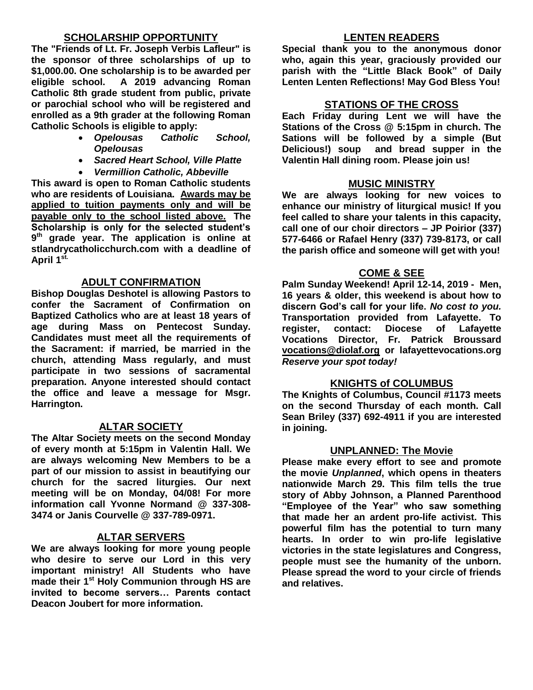# **SCHOLARSHIP OPPORTUNITY**

**The "Friends of Lt. Fr. Joseph Verbis Lafleur" is the sponsor of three scholarships of up to \$1,000.00. One scholarship is to be awarded per eligible school. A 2019 advancing Roman Catholic 8th grade student from public, private or parochial school who will be registered and enrolled as a 9th grader at the following Roman Catholic Schools is eligible to apply:**

- *Opelousas Catholic School, Opelousas*
- *Sacred Heart School, Ville Platte*
- *Vermillion Catholic, Abbeville*

**This award is open to Roman Catholic students who are residents of Louisiana. Awards may be applied to tuition payments only and will be payable only to the school listed above. The Scholarship is only for the selected student's 9 th grade year. The application is online at stlandrycatholicchurch.com with a deadline of April 1st.** 

## **ADULT CONFIRMATION**

**Bishop Douglas Deshotel is allowing Pastors to confer the Sacrament of Confirmation on Baptized Catholics who are at least 18 years of age during Mass on Pentecost Sunday. Candidates must meet all the requirements of the Sacrament: if married, be married in the church, attending Mass regularly, and must participate in two sessions of sacramental preparation. Anyone interested should contact the office and leave a message for Msgr. Harrington.** 

#### **ALTAR SOCIETY**

**The Altar Society meets on the second Monday of every month at 5:15pm in Valentin Hall. We are always welcoming New Members to be a part of our mission to assist in beautifying our church for the sacred liturgies. Our next meeting will be on Monday, 04/08! For more information call Yvonne Normand @ 337-308- 3474 or Janis Courvelle @ 337-789-0971.** 

#### **ALTAR SERVERS**

**We are always looking for more young people who desire to serve our Lord in this very important ministry! All Students who have made their 1st Holy Communion through HS are invited to become servers… Parents contact Deacon Joubert for more information.**

## **LENTEN READERS**

**Special thank you to the anonymous donor who, again this year, graciously provided our parish with the "Little Black Book" of Daily Lenten Lenten Reflections! May God Bless You!**

# **STATIONS OF THE CROSS**

**Each Friday during Lent we will have the Stations of the Cross @ 5:15pm in church. The Sations will be followed by a simple (But Delicious!) soup and bread supper in the Valentin Hall dining room. Please join us!**

## **MUSIC MINISTRY**

**We are always looking for new voices to enhance our ministry of liturgical music! If you feel called to share your talents in this capacity, call one of our choir directors – JP Poirior (337) 577-6466 or Rafael Henry (337) 739-8173, or call the parish office and someone will get with you!**

## **COME & SEE**

**Palm Sunday Weekend! April 12-14, 2019 - Men, 16 years & older, this weekend is about how to discern God's call for your life.** *No cost to you.* **Transportation provided from Lafayette. To register, contact: Diocese of Lafayette Vocations Director, Fr. Patrick Broussard [vocations@diolaf.org](mailto:vocations@diolaf.org) or lafayettevocations.org**  *Reserve your spot today!*

# **KNIGHTS of COLUMBUS**

**The Knights of Columbus, Council #1173 meets on the second Thursday of each month. Call Sean Briley (337) 692-4911 if you are interested in joining.** 

#### **UNPLANNED: The Movie**

**Please make every effort to see and promote the movie** *Unplanned***, which opens in theaters nationwide March 29. This film tells the true story of Abby Johnson, a Planned Parenthood "Employee of the Year" who saw something that made her an ardent pro-life activist. This powerful film has the potential to turn many hearts. In order to win pro-life legislative victories in the state legislatures and Congress, people must see the humanity of the unborn. Please spread the word to your circle of friends and relatives.**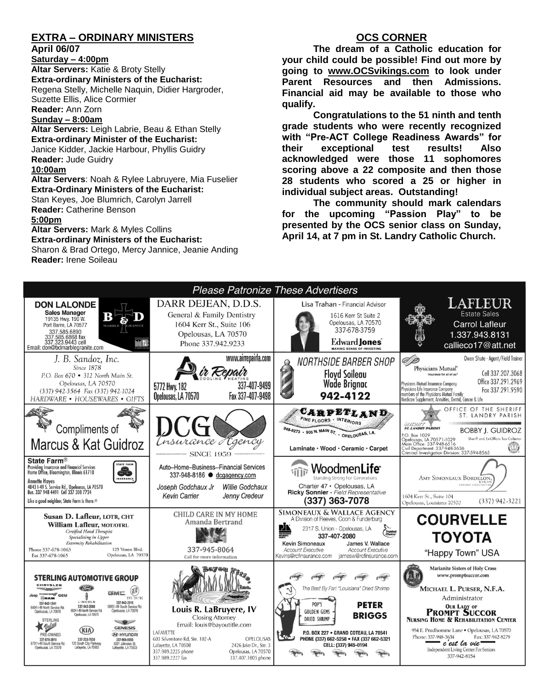# **EXTRA – ORDINARY MINISTERS**

#### **April 06/07**

**Saturday – 4:00pm Altar Servers:** Katie & Broty Stelly **Extra-ordinary Ministers of the Eucharist:**  Regena Stelly, Michelle Naquin, Didier Hargroder, Suzette Ellis, Alice Cormier **Reader:** Ann Zorn

**Sunday – 8:00am**

**Altar Servers:** Leigh Labrie, Beau & Ethan Stelly **Extra-ordinary Minister of the Eucharist:** Janice Kidder, Jackie Harbour, Phyllis Guidry **Reader:** Jude Guidry **10:00am**

**Altar Servers**: Noah & Rylee Labruyere, Mia Fuselier **Extra-Ordinary Ministers of the Eucharist:** Stan Keyes, Joe Blumrich, Carolyn Jarrell **Reader:** Catherine Benson

#### **5:00pm**

**Altar Servers:** Mark & Myles Collins **Extra-ordinary Ministers of the Eucharist:** Sharon & Brad Ortego, Mercy Jannice, Jeanie Anding

# **OCS CORNER**

**The dream of a Catholic education for your child could be possible! Find out more by going to [www.OCSvikings.com](http://www.ocsvikings.com/) to look under Parent Resources and then Admissions. Financial aid may be available to those who qualify.**

**Congratulations to the 51 ninth and tenth grade students who were recently recognized with "Pre-ACT College Readiness Awards" for their exceptional test results! Also acknowledged were those 11 sophomores scoring above a 22 composite and then those 28 students who scored a 25 or higher in individual subject areas. Outstanding!**

**The community should mark calendars for the upcoming "Passion Play" to be presented by the OCS senior class on Sunday, April 14, at 7 pm in St. Landry Catholic Church.**